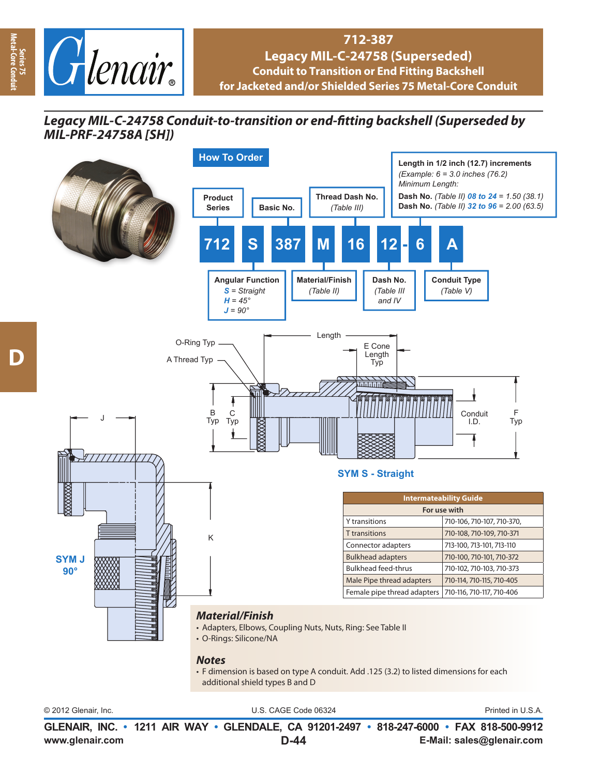

## **712-387 Legacy MIL-C-24758 (Superseded) Conduit to Transition or End Fitting Backshell for Jacketed and/or Shielded Series 75 Metal-Core Conduit**

## *Legacy MIL-C-24758 Conduit-to-transition or end-fi tting backshell (Superseded by MIL-PRF-24758A [SH])*



• F dimension is based on type A conduit. Add .125 (3.2) to listed dimensions for each additional shield types B and D

© 2012 Glenair, Inc. U.S. CAGE Code 06324 Printed in U.S.A.

**www.glenair.com E-Mail: sales@glenair.com GLENAIR, INC. • 1211 AIR WAY • GLENDALE, CA 91201-2497 • 818-247-6000 • FAX 818-500-9912 D-44**

**Series 75 Metal-Core Conduit**

etal-Core Co